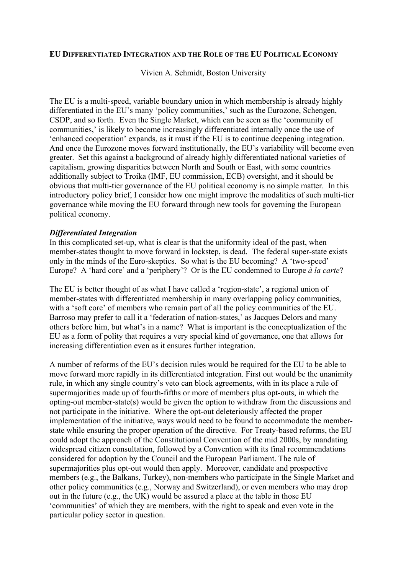## **EU DIFFERENTIATED INTEGRATION AND THE ROLE OF THE EU POLITICAL ECONOMY**

Vivien A. Schmidt, Boston University

The EU is a multi-speed, variable boundary union in which membership is already highly differentiated in the EU's many 'policy communities,' such as the Eurozone, Schengen, CSDP, and so forth. Even the Single Market, which can be seen as the 'community of communities,' is likely to become increasingly differentiated internally once the use of 'enhanced cooperation' expands, as it must if the EU is to continue deepening integration. And once the Eurozone moves forward institutionally, the EU's variability will become even greater. Set this against a background of already highly differentiated national varieties of capitalism, growing disparities between North and South or East, with some countries additionally subject to Troika (IMF, EU commission, ECB) oversight, and it should be obvious that multi-tier governance of the EU political economy is no simple matter. In this introductory policy brief, I consider how one might improve the modalities of such multi-tier governance while moving the EU forward through new tools for governing the European political economy.

## *Differentiated Integration*

In this complicated set-up, what is clear is that the uniformity ideal of the past, when member-states thought to move forward in lockstep, is dead. The federal super-state exists only in the minds of the Euro-skeptics. So what is the EU becoming? A 'two-speed' Europe? A 'hard core' and a 'periphery'? Or is the EU condemned to Europe *à la carte*?

The EU is better thought of as what I have called a 'region-state', a regional union of member-states with differentiated membership in many overlapping policy communities, with a 'soft core' of members who remain part of all the policy communities of the EU. Barroso may prefer to call it a 'federation of nation-states,' as Jacques Delors and many others before him, but what's in a name? What is important is the conceptualization of the EU as a form of polity that requires a very special kind of governance, one that allows for increasing differentiation even as it ensures further integration.

A number of reforms of the EU's decision rules would be required for the EU to be able to move forward more rapidly in its differentiated integration. First out would be the unanimity rule, in which any single country's veto can block agreements, with in its place a rule of supermajorities made up of fourth-fifths or more of members plus opt-outs, in which the opting-out member-state(s) would be given the option to withdraw from the discussions and not participate in the initiative. Where the opt-out deleteriously affected the proper implementation of the initiative, ways would need to be found to accommodate the memberstate while ensuring the proper operation of the directive. For Treaty-based reforms, the EU could adopt the approach of the Constitutional Convention of the mid 2000s, by mandating widespread citizen consultation, followed by a Convention with its final recommendations considered for adoption by the Council and the European Parliament. The rule of supermajorities plus opt-out would then apply. Moreover, candidate and prospective members (e.g., the Balkans, Turkey), non-members who participate in the Single Market and other policy communities (e.g., Norway and Switzerland), or even members who may drop out in the future (e.g., the UK) would be assured a place at the table in those EU 'communities' of which they are members, with the right to speak and even vote in the particular policy sector in question.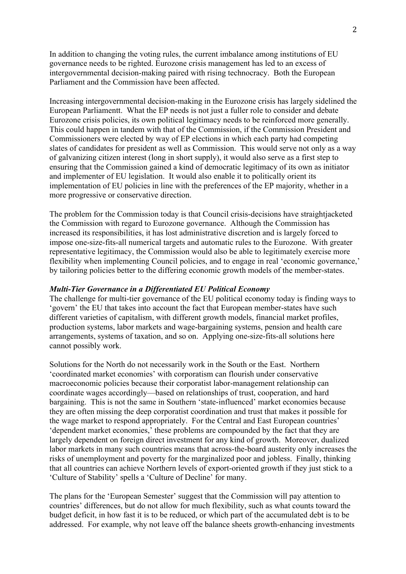In addition to changing the voting rules, the current imbalance among institutions of EU governance needs to be righted. Eurozone crisis management has led to an excess of intergovernmental decision-making paired with rising technocracy. Both the European Parliament and the Commission have been affected.

Increasing intergovernmental decision-making in the Eurozone crisis has largely sidelined the European Parliamentt. What the EP needs is not just a fuller role to consider and debate Eurozone crisis policies, its own political legitimacy needs to be reinforced more generally. This could happen in tandem with that of the Commission, if the Commission President and Commissioners were elected by way of EP elections in which each party had competing slates of candidates for president as well as Commission. This would serve not only as a way of galvanizing citizen interest (long in short supply), it would also serve as a first step to ensuring that the Commission gained a kind of democratic legitimacy of its own as initiator and implementer of EU legislation. It would also enable it to politically orient its implementation of EU policies in line with the preferences of the EP majority, whether in a more progressive or conservative direction.

The problem for the Commission today is that Council crisis-decisions have straightjacketed the Commission with regard to Eurozone governance. Although the Commission has increased its responsibilities, it has lost administrative discretion and is largely forced to impose one-size-fits-all numerical targets and automatic rules to the Eurozone. With greater representative legitimacy, the Commission would also be able to legitimately exercise more flexibility when implementing Council policies, and to engage in real 'economic governance,' by tailoring policies better to the differing economic growth models of the member-states.

## *Multi-Tier Governance in a Differentiated EU Political Economy*

The challenge for multi-tier governance of the EU political economy today is finding ways to 'govern' the EU that takes into account the fact that European member-states have such different varieties of capitalism, with different growth models, financial market profiles, production systems, labor markets and wage-bargaining systems, pension and health care arrangements, systems of taxation, and so on. Applying one-size-fits-all solutions here cannot possibly work.

Solutions for the North do not necessarily work in the South or the East. Northern 'coordinated market economies' with corporatism can flourish under conservative macroeconomic policies because their corporatist labor-management relationship can coordinate wages accordingly—based on relationships of trust, cooperation, and hard bargaining. This is not the same in Southern 'state-influenced' market economies because they are often missing the deep corporatist coordination and trust that makes it possible for the wage market to respond appropriately. For the Central and East European countries' 'dependent market economies,' these problems are compounded by the fact that they are largely dependent on foreign direct investment for any kind of growth. Moreover, dualized labor markets in many such countries means that across-the-board austerity only increases the risks of unemployment and poverty for the marginalized poor and jobless. Finally, thinking that all countries can achieve Northern levels of export-oriented growth if they just stick to a 'Culture of Stability' spells a 'Culture of Decline' for many.

The plans for the 'European Semester' suggest that the Commission will pay attention to countries' differences, but do not allow for much flexibility, such as what counts toward the budget deficit, in how fast it is to be reduced, or which part of the accumulated debt is to be addressed. For example, why not leave off the balance sheets growth-enhancing investments